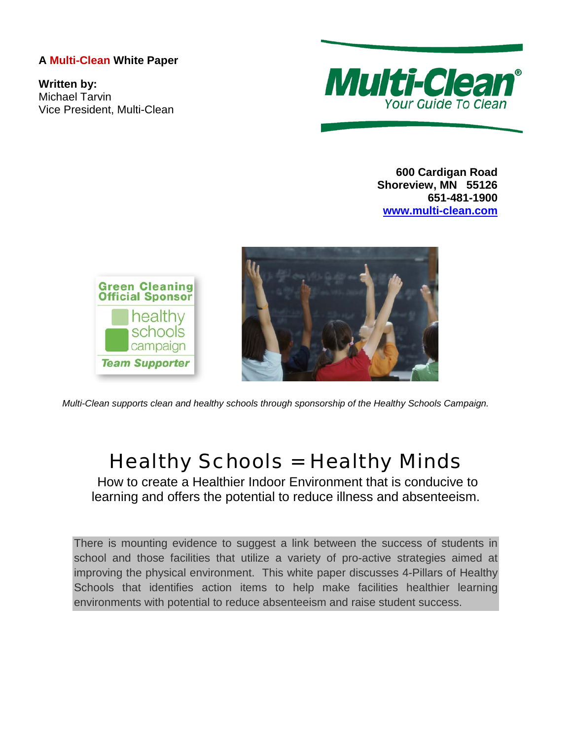## **A Multi-Clean White Paper**

**Written by:** Michael Tarvin Vice President, Multi-Clean



**600 Cardigan Road Shoreview, MN 55126 651-481-1900 [www.multi-clean.com](http://www.multi-clean.com/)**



*Multi-Clean supports clean and healthy schools through sponsorship of the Healthy Schools Campaign.*

# Healthy Schools = Healthy Minds

How to create a Healthier Indoor Environment that is conducive to learning and offers the potential to reduce illness and absenteeism.

There is mounting evidence to suggest a link between the success of students in school and those facilities that utilize a variety of pro-active strategies aimed at improving the physical environment. This white paper discusses 4-Pillars of Healthy Schools that identifies action items to help make facilities healthier learning environments with potential to reduce absenteeism and raise student success.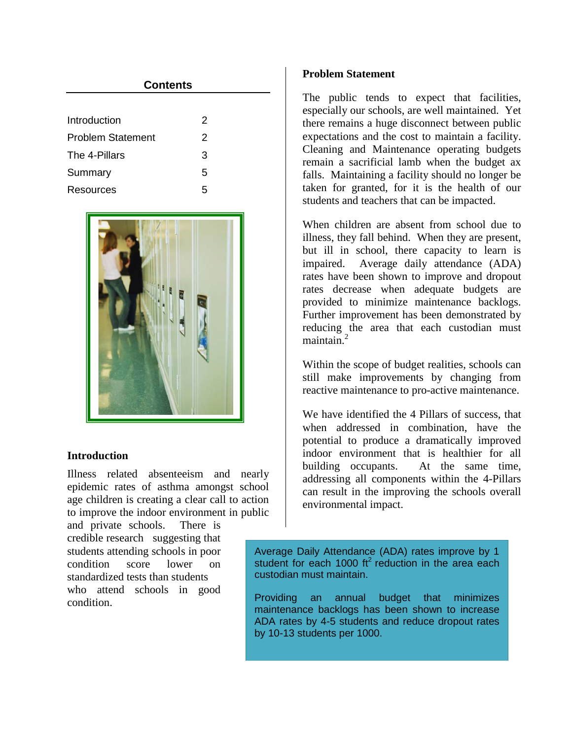| <b>Contents</b>          |   |  |
|--------------------------|---|--|
|                          |   |  |
| Introduction             | 2 |  |
| <b>Problem Statement</b> | 2 |  |
| The 4-Pillars            | 3 |  |
| Summary                  | 5 |  |
| Resources                | 5 |  |

<span id="page-1-0"></span>

## <span id="page-1-1"></span>**Introduction**

Illness related absenteeism and nearly epidemic rates of asthma amongst school age children is creating a clear call to action to improve the indoor environment in public

and private schools. There is credible research suggesting that students attending schools in poor condition score lower on standardized tests than students who attend schools in good condition.

## **Problem Statement**

The public tends to expect that facilities, especially our schools, are well maintained. Yet there remains a huge disconnect between public expectations and the cost to maintain a facility. Cleaning and Maintenance operating budgets remain a sacrificial lamb when the budget ax falls. Maintaining a facility should no longer be taken for granted, for it is the health of our students and teachers that can be impacted.

When children are absent from school due to illness, they fall behind. When they are present, but ill in school, there capacity to learn is impaired. Average daily attendance (ADA) rates have been shown to improve and dropout rates decrease when adequate budgets are provided to minimize maintenance backlogs. Further improvement has been demonstrated by reducing the area that each custodian must  $m$ aintain. $^2$ 

Within the scope of budget realities, schools can still make improvements by changing from reactive maintenance to pro-active maintenance.

We have identified the 4 Pillars of success, that when addressed in combination, have the potential to produce a dramatically improved indoor environment that is healthier for all building occupants. At the same time, addressing all components within the 4-Pillars can result in the improving the schools overall environmental impact.

Average Daily Attendance (ADA) rates improve by 1 student for each 1000 ft<sup>2</sup> reduction in the area each custodian must maintain.

Providing an annual budget that minimizes maintenance backlogs has been shown to increase ADA rates by 4-5 students and reduce dropout rates by 10-13 students per 1000.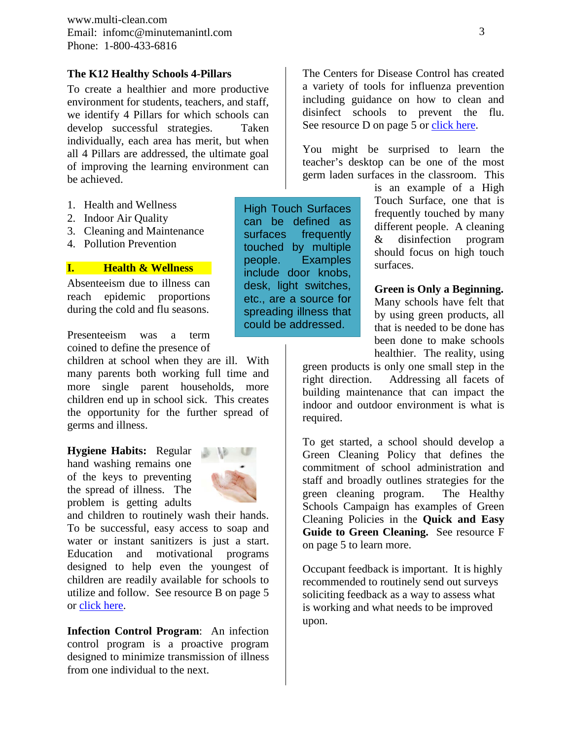www.multi-clean.com Email: infomc@minutemanintl.com Phone: 1-800-433-6816

## **The K12 Healthy Schools 4-Pillars**

To create a healthier and more productive environment for students, teachers, and staff, we identify 4 Pillars for which schools can develop successful strategies. Taken individually, each area has merit, but when all 4 Pillars are addressed, the ultimate goal of improving the learning environment can be achieved.

- 1. Health and Wellness
- 2. Indoor Air Quality
- 3. Cleaning and Maintenance
- 4. Pollution Prevention

## **I. Health & Wellness**

Absenteeism due to illness can reach epidemic proportions during the cold and flu seasons.

Presenteeism was a term coined to define the presence of

children at school when they are ill. With many parents both working full time and more single parent households, more children end up in school sick. This creates the opportunity for the further spread of germs and illness.

**Hygiene Habits:** Regular hand washing remains one of the keys to preventing the spread of illness. The problem is getting adults



and children to routinely wash their hands. To be successful, easy access to soap and water or instant sanitizers is just a start. Education and motivational programs designed to help even the youngest of children are readily available for schools to utilize and follow. See resource B on page 5 or [click here.](http://www.itsasnap.org/snap/about.asp)

**Infection Control Program**: An infection control program is a proactive program designed to minimize transmission of illness from one individual to the next.

The Centers for Disease Control has created a variety of tools for influenza prevention including guidance on how to clean and disinfect schools to prevent the flu. See resource D on page 5 or [click here.](http://www.cdc.gov/flu/pdf/freeresources/updated/cleaning_disinfecting_schools.pdf)

You might be surprised to learn the teacher's desktop can be one of the most germ laden surfaces in the classroom. This

High Touch Surfaces can be defined as surfaces frequently touched by multiple people. Examples include door knobs, desk, light switches, etc., are a source for spreading illness that could be addressed.

is an example of a High Touch Surface, one that is frequently touched by many different people. A cleaning & disinfection program should focus on high touch surfaces.

#### **Green is Only a Beginning.**

Many schools have felt that by using green products, all that is needed to be done has been done to make schools healthier. The reality, using

green products is only one small step in the right direction. Addressing all facets of building maintenance that can impact the indoor and outdoor environment is what is required.

To get started, a school should develop a Green Cleaning Policy that defines the commitment of school administration and staff and broadly outlines strategies for the green cleaning program. The Healthy Schools Campaign has examples of Green Cleaning Policies in the **Quick and Easy Guide to Green Cleaning.** See resource F on page 5 to learn more.

Occupant feedback is important. It is highly recommended to routinely send out surveys soliciting feedback as a way to assess what is working and what needs to be improved upon.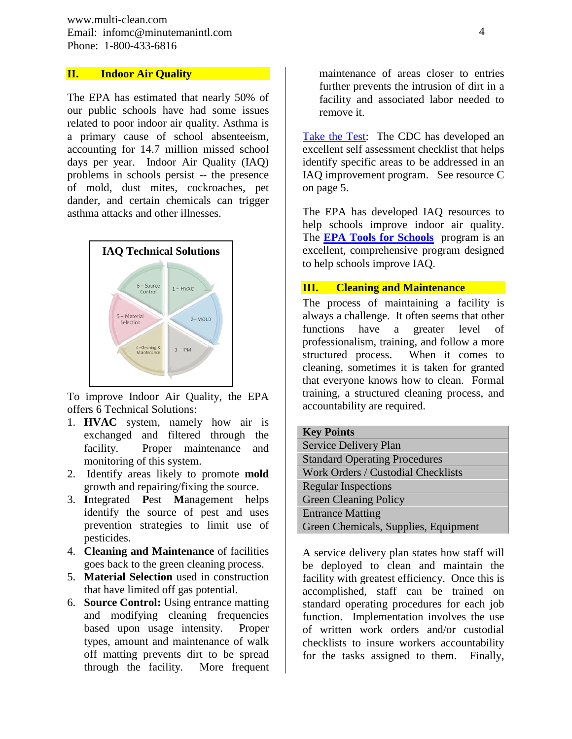www.multi-clean.com Email: infomc@minutemanintl.com Phone: 1-800-433-6816

## **II. Indoor Air Quality**

The EPA has estimated that nearly 50% of our public schools have had some issues related to poor indoor air quality. Asthma is a primary cause of school absenteeism, accounting for 14.7 million missed school days per year. Indoor Air Quality (IAQ) problems in schools persist -- the presence of mold, dust mites, cockroaches, pet dander, and certain chemicals can trigger asthma attacks and other illnesses.



To improve Indoor Air Quality, the EPA offers 6 Technical Solutions:

- 1. **HVAC** system, namely how air is exchanged and filtered through the facility. Proper maintenance and monitoring of this system.
- 2. Identify areas likely to promote **mold** growth and repairing/fixing the source.
- 3. **I**ntegrated **P**est **M**anagement helps identify the source of pest and uses prevention strategies to limit use of pesticides.
- 4. **Cleaning and Maintenance** of facilities goes back to the green cleaning process.
- 5. **Material Selection** used in construction that have limited off gas potential.
- 6. **Source Control:** Using entrance matting and modifying cleaning frequencies based upon usage intensity. Proper types, amount and maintenance of walk off matting prevents dirt to be spread through the facility. More frequent

maintenance of areas closer to entries further prevents the intrusion of dirt in a facility and associated labor needed to remove it.

[Take the Test:](http://www.cdc.gov/niosh/docs/2004-101/chklists/6indoo~1.htm) The CDC has developed an excellent self assessment checklist that helps identify specific areas to be addressed in an IAQ improvement program. See resource C on page 5.

The EPA has developed IAQ resources to help schools improve indoor air quality. The **[EPA Tools for Schools](http://www.epa.gov/iaq/schools/)** program is an excellent, comprehensive program designed to help schools improve IAQ.

## **III. Cleaning and Maintenance**

The process of maintaining a facility is always a challenge. It often seems that other functions have a greater level of professionalism, training, and follow a more structured process. When it comes to cleaning, sometimes it is taken for granted that everyone knows how to clean. Formal training, a structured cleaning process, and accountability are required.

| <b>Key Points</b>                    |
|--------------------------------------|
| Service Delivery Plan                |
| <b>Standard Operating Procedures</b> |
| Work Orders / Custodial Checklists   |
| <b>Regular Inspections</b>           |
| <b>Green Cleaning Policy</b>         |
| <b>Entrance Matting</b>              |
| Green Chemicals, Supplies, Equipment |

A service delivery plan states how staff will be deployed to clean and maintain the facility with greatest efficiency. Once this is accomplished, staff can be trained on standard operating procedures for each job function. Implementation involves the use of written work orders and/or custodial checklists to insure workers accountability for the tasks assigned to them. Finally,